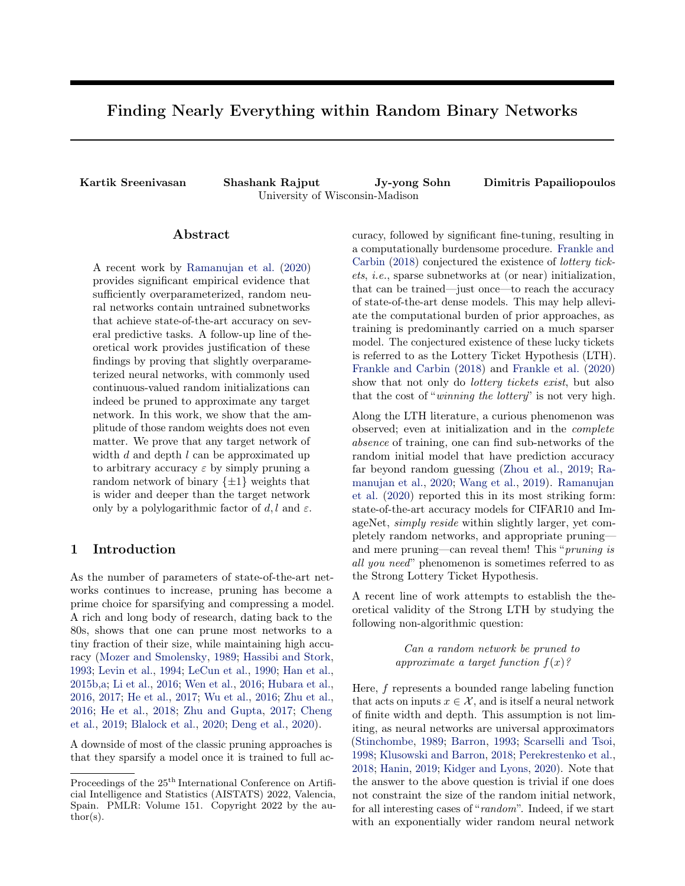# <span id="page-0-0"></span>Finding Nearly Everything within Random Binary Networks

Kartik Sreenivasan Shashank Rajput Jy-yong Sohn Dimitris Papailiopoulos University of Wisconsin-Madison

### Abstract

A recent work by [Ramanujan et al.](#page-9-0) [\(2020\)](#page-9-0) provides significant empirical evidence that sufficiently overparameterized, random neural networks contain untrained subnetworks that achieve state-of-the-art accuracy on several predictive tasks. A follow-up line of theoretical work provides justification of these findings by proving that slightly overparameterized neural networks, with commonly used continuous-valued random initializations can indeed be pruned to approximate any target network. In this work, we show that the amplitude of those random weights does not even matter. We prove that any target network of width  $d$  and depth  $l$  can be approximated up to arbitrary accuracy  $\varepsilon$  by simply pruning a random network of binary  $\{\pm 1\}$  weights that is wider and deeper than the target network only by a polylogarithmic factor of d, l and  $\varepsilon$ .

### 1 Introduction

As the number of parameters of state-of-the-art networks continues to increase, pruning has become a prime choice for sparsifying and compressing a model. A rich and long body of research, dating back to the 80s, shows that one can prune most networks to a tiny fraction of their size, while maintaining high accuracy [\(Mozer and Smolensky,](#page-9-1) [1989;](#page-9-1) [Hassibi and Stork,](#page-8-0) [1993;](#page-8-0) [Levin et al.,](#page-9-2) [1994;](#page-9-2) [LeCun et al.,](#page-9-3) [1990;](#page-9-3) [Han et al.,](#page-8-1) [2015b](#page-8-1)[,a;](#page-8-2) [Li et al.,](#page-9-4) [2016;](#page-9-4) [Wen et al.,](#page-9-5) [2016;](#page-9-5) [Hubara et al.,](#page-8-3) [2016,](#page-8-3) [2017;](#page-8-4) [He et al.,](#page-8-5) [2017;](#page-8-5) [Wu et al.,](#page-9-6) [2016;](#page-9-6) [Zhu et al.,](#page-9-7) [2016;](#page-9-7) [He et al.,](#page-8-6) [2018;](#page-8-6) [Zhu and Gupta,](#page-9-8) [2017;](#page-9-8) [Cheng](#page-8-7) [et al.,](#page-8-7) [2019;](#page-8-7) [Blalock et al.,](#page-8-8) [2020;](#page-8-8) [Deng et al.,](#page-8-9) [2020\)](#page-8-9).

A downside of most of the classic pruning approaches is that they sparsify a model once it is trained to full accuracy, followed by significant fine-tuning, resulting in a computationally burdensome procedure. [Frankle and](#page-8-10) [Carbin](#page-8-10) [\(2018\)](#page-8-10) conjectured the existence of lottery tickets, i.e., sparse subnetworks at (or near) initialization, that can be trained—just once—to reach the accuracy of state-of-the-art dense models. This may help alleviate the computational burden of prior approaches, as training is predominantly carried on a much sparser model. The conjectured existence of these lucky tickets is referred to as the Lottery Ticket Hypothesis (LTH). [Frankle and Carbin](#page-8-10) [\(2018\)](#page-8-10) and [Frankle et al.](#page-8-11) [\(2020\)](#page-8-11) show that not only do *lottery tickets exist*, but also that the cost of "winning the lottery" is not very high.

Along the LTH literature, a curious phenomenon was observed; even at initialization and in the complete absence of training, one can find sub-networks of the random initial model that have prediction accuracy far beyond random guessing [\(Zhou et al.,](#page-9-9) [2019;](#page-9-9) [Ra](#page-9-0)[manujan et al.,](#page-9-0) [2020;](#page-9-0) [Wang et al.,](#page-9-10) [2019\)](#page-9-10). [Ramanujan](#page-9-0) [et al.](#page-9-0) [\(2020\)](#page-9-0) reported this in its most striking form: state-of-the-art accuracy models for CIFAR10 and ImageNet, simply reside within slightly larger, yet completely random networks, and appropriate pruning and mere pruning—can reveal them! This "pruning is all you need" phenomenon is sometimes referred to as the Strong Lottery Ticket Hypothesis.

A recent line of work attempts to establish the theoretical validity of the Strong LTH by studying the following non-algorithmic question:

> Can a random network be pruned to approximate a target function  $f(x)$ ?

Here, f represents a bounded range labeling function that acts on inputs  $x \in \mathcal{X}$ , and is itself a neural network of finite width and depth. This assumption is not limiting, as neural networks are universal approximators [\(Stinchombe,](#page-9-11) [1989;](#page-9-11) [Barron,](#page-8-12) [1993;](#page-8-12) [Scarselli and Tsoi,](#page-9-12) [1998;](#page-9-12) [Klusowski and Barron,](#page-9-13) [2018;](#page-9-13) [Perekrestenko et al.,](#page-9-14) [2018;](#page-9-14) [Hanin,](#page-8-13) [2019;](#page-8-13) [Kidger and Lyons,](#page-9-15) [2020\)](#page-9-15). Note that the answer to the above question is trivial if one does not constraint the size of the random initial network, for all interesting cases of "random". Indeed, if we start with an exponentially wider random neural network

Proceedings of the  $25^{\text{th}}$  International Conference on Artificial Intelligence and Statistics (AISTATS) 2022, Valencia, Spain. PMLR: Volume 151. Copyright 2022 by the au- $\text{thor}(s)$ .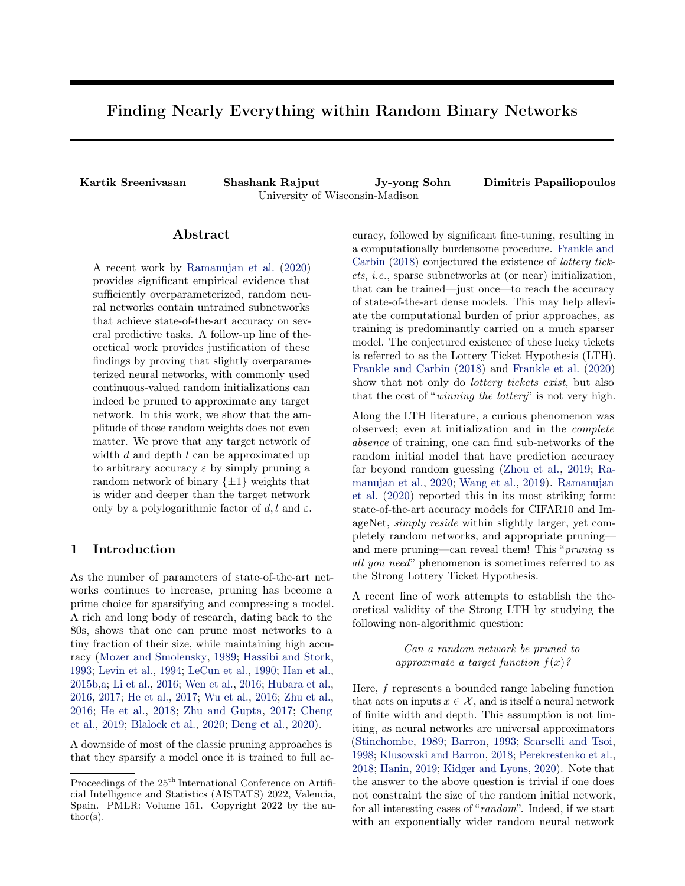compared to the one representing  $f$ , by sheer luck, one can always find weights, for each layer, near-identical to those of any target neural network that is f. Achieving this result with a constrained overparameterization, i.e., the degree by which the random network to be pruned is wider/deeper than  $f$ , is precisely why this question is challenging.

[Malach et al.](#page-9-16) [\(2020\)](#page-9-16) were the first to prove that the Strong LTH is true, assuming polynomial-sized overparameterization. Specifically, under some mild assumptions, they showed that to approximate a target network of width d and depth l to within error  $\varepsilon$ , it suffices to prune a random network of width  $\mathcal{O}(d^2l^2/\varepsilon^2)$  and depth 2l. [Pensia et al.](#page-9-17) [\(2020\)](#page-9-17) offered an exponentially tighter bound using a connection to the SubsetSum problem. They showed that to approximate a target network within error  $\varepsilon$ , it is sufficient to prune a randomly initialized network of width  $\mathcal{O}(d \log(d l/\varepsilon))$  and depth 2l. A corresponding lower bound for constant depth networks was also established. [Orseau et al.](#page-9-18) [\(2020\)](#page-9-18) were also able to reduce the dependence on  $\varepsilon$  to logarithmic. They show that in order to approximate a target network within error  $\varepsilon$ , it suffices to prune a random network of width  $\mathcal{O}(d^2 \log(dl/\varepsilon))$  if the weights are initialized with the hyperbolic distribution. However, this bound on overparamaterization is still polynomial in the width d.

The above theoretical studies have focused exclusively on continuous distribution for initialization. However, in the experimental work by [Ramanujan et al.](#page-9-0) [\(2020\)](#page-9-0), the authors manage to obtain the best performance by pruning networks of scaled, binary weights. Training binary networks has been studied extensively in the past [\(Courbariaux et al.,](#page-8-14) [2015;](#page-8-14) [Simons and Lee,](#page-9-19) [2019\)](#page-9-19) as they are compute, memory and hardware efficient, though in many cases they suffer from significant loss of accuracy. The findings of [Ramanujan et al.](#page-9-0) [\(2020\)](#page-9-0) suggest that the accuracy loss may not be fundamental to networks of binary weights, when such networks are learned by pruning. Arguably, since "carving out" sub-networks of random models is expressive enough to approximate a target function, e.g., according to [\(Pensia et al.,](#page-9-17) [2020;](#page-9-17) [Malach et al.,](#page-9-16) [2020\)](#page-9-16), one is posed to wonder about the importance of weights altogether. So perhaps, *binary weights is all you need*.

[Diffenderfer and Kailkhura](#page-8-15) [\(2021\)](#page-8-15) showed that indeed scaled binary networks can be pruned to approximate any target function. The required overparameterization is similar to that of [Malach et al.](#page-9-16)  $(2020)$ , *i.e.*, polynomial in the width, depth and error of approximation. In a similar vein to the improvement that [Pensia et al.](#page-9-17) [\(2020\)](#page-9-17) offered over the bounds of [Malach et al.](#page-9-16) [\(2020\)](#page-9-16), we explore whether such an improvement is possible on the results of [Diffenderfer and Kailkhura](#page-8-15) [\(2021\)](#page-8-15).

<span id="page-1-0"></span>

Figure 1: Approximating a target network with high accuracy by pruning overparameterized random binary network. In this paper, we show that logarithmic overparameterization in both width and depth is sufficient.

Our Contributions: In this work, we offer an exponential improvement to the theoretical bounds by [Diffenderfer and Kailkhura](#page-8-15) (2021), establishing the following.

Theorem 1. (informal) Consider a randomly initialized, FC, binary  $\{\pm 1\}$  network of ReLU activations, with depth  $\Theta$   $l \log \left( \frac{dl}{r} \right)$  and width  $\Theta$   $d \log^2 \left( \frac{dl}{r} \right)$ , with the last layer consisting of scaled binary weights  $\{\pm C\}$ . Then, there exists a constant C such that this network can be pruned to approximate any FC ReLU network, up to error  $\varepsilon > 0$  with depth l and width d, with probability at least  $1 - \delta$ .

Target network obtained the pharmeterized<br>maken bumay weighs<br>Figure 1: Approximating a target network with high accuracy by pruning overparameterized random binary network.<br>In this paper, we show that logarithmic overpara Therefore, we show that in order to approximate any target network, it suffices to just prune a logarithmically overparameterized binary network (Figure 1). In contrast to [Diffenderfer and Kailkhura](#page-8-15) (2021), our construction only requires that the last layer be scaled while the rest of the network is purely binary  $\{\pm 1\}.$ We believe that the tightness of our bound comes from using depth more effectively. While Diffenderfer and [Kailkhura](#page-8-15) [\(2021\)](#page-8-15) use a construction that is only 2l in depth, it is wider than the target network by a polynomial factor. In contrast, our construction is both logarithmically wider and deeper than the target network thereby requiring exponentially smaller overaparameterization in terms of total parameters. We show a detailed comparison of the known Strong LTH results in Table [1.](#page-2-0)

We would also like to remark that our bounds more closely justify the experimental findings from [Ramanu](#page-9-0)[jan et al.](#page-9-0) [\(2020\)](#page-9-0) and [Diffenderfer and Kailkhura](#page-8-15) [\(2021\)](#page-8-15). Both works demonstrate that the amount of overparameterization required to find a high accuracy subnetwork is small, and surely not polynomial. Our bounds reflect this observation.

In light of our theoretical results, one may wonder why in the literature of training, i.e., assigning a sign pattern to fixed architecture, binary networks, a loss of accuracy is observed, e.g., [Rastegari et al.](#page-9-20) [\(2016\)](#page-9-20). Is this an algorithmic artifact, or does pruning random signs offer higher expressivity than assigning the signs? We show that there exist target functions that can be well approximated by pruning binary networks, yet none of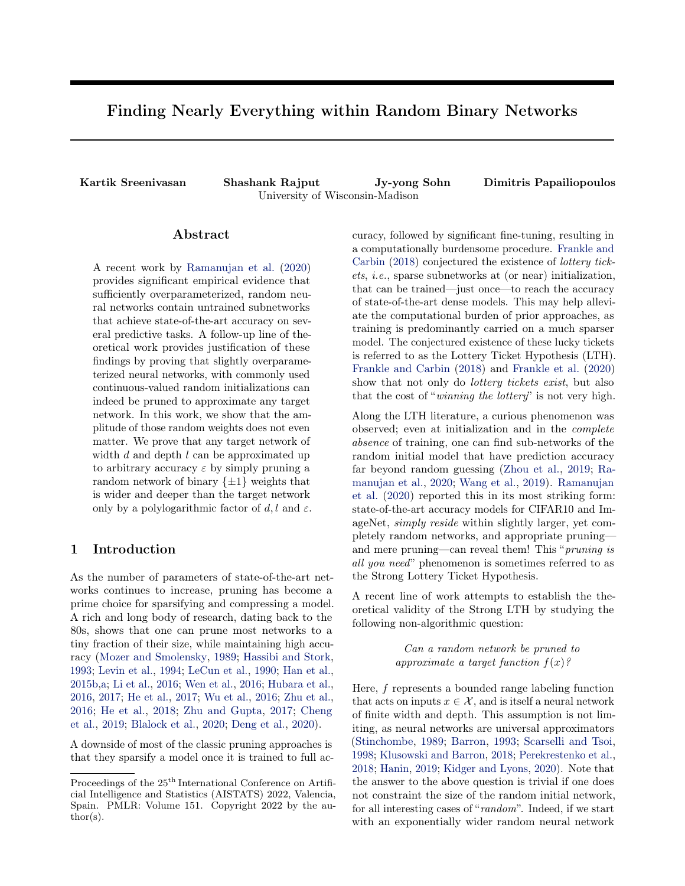<span id="page-2-0"></span>

| Reference                         | Width                                                              | Depth                                                       | Total Params                                                                   | Weights               |
|-----------------------------------|--------------------------------------------------------------------|-------------------------------------------------------------|--------------------------------------------------------------------------------|-----------------------|
| Malach et al. $(2020)$            | $\mathcal{O}(d^2l^2/\varepsilon^2)$                                | 21                                                          | $\mathcal{O}(d^2l^3/\varepsilon^2)$                                            | Real                  |
| Orseau et al. $(2020)$            | $\mathcal{O}(d^2 \log(dl/\varepsilon))$                            | 2l                                                          | $\mathcal{O}(d^2l\log(dl/\varepsilon))$                                        | Real (Hyperbolic)     |
| Pensia et al. $(2020)$            | $\mathcal{O}(d \log(dl/\min\{\varepsilon,\delta\}))$               | 2l                                                          | $\mathcal{O}(dl \log(dl/\min\{\varepsilon,\delta\}))$                          | Real                  |
| Diffenderfer and Kailkhura (2021) | $\mathcal{O}((ld^{3-2}/\varepsilon) + ld \log(\frac{ld}{\delta}))$ | -21                                                         | $\overline{\mathcal{O}((l^2d^{3-2}/\varepsilon)+l^2d\log(\frac{ld}{\delta}))}$ | $\{\pm\varepsilon\}$  |
| <b>Ours.</b> Theorem 1            | $\mathcal{O}(d \log^2 (dl/\varepsilon \delta))$                    | $\mathcal{O}(l \log \left( \frac{dl}{\varepsilon} \right))$ | $\mathcal{O}(dl \log^3 (dl/\varepsilon\delta))$                                | Binary- $\{\pm 1\}^1$ |

Table 1: Comparing the upper bounds for the overparameterization needed to approximate a target network (of width d and depth  $\ell$ ) within error " > 0 with probability at least 1 by pruning a randomly initialized network.

all possible, binary, fully-connected (FC) networks can approximate it.

Proposition 1. *(informal)* There exist a function f that can be represented by pruning a random 2-layer binary network of width d, but not by any 2-layer fullyconnected binary network of width d.

Note that although finding a subnetwork of a random binary network results in a "ternary" architecture (e.g., 0 becomes a possible weight), the total number of possible choices of subnetworks is  $2^N$ , if N is the total number of weights. This is equal to the total number of sign assignments of the same FC network. Yet, as shown in the proposition above, pruning a random FC network is provably more expressive than finding a sign assignment for the same architecture.

# 2 Preliminaries and Problem Setup

Let  $f(\mathbf{x}) : \mathbb{R}^{d_0} \to \mathbb{R}$  be the target FC network with l layers and ReLU activations, represented as

$$
f(\mathbf{x}) = \sigma(\mathbf{W}_I \sigma(\mathbf{W}_{I-1} \ldots \sigma(\mathbf{W}_1 \mathbf{x}))),
$$

where  $\mathbf{x} \in \mathbb{R}^{d_0}$  is the input,  $\sigma(\mathbf{z}) = \max\{\mathbf{z}, 0\}$  is the ReLU activation and  $W_i \in \mathbb{R}^{d_i - d_{i-1}}$  is the weight matrix of layer  $i \in [l]$ . With slight abuse of terminology, we will refer to  $f$  as a network, as opposed to a labeling function. We then consider a binary<sup>1</sup> network of depth  $l^{\prime}$ 

$$
g(\mathbf{x}) = \sigma((\varepsilon^{\theta} \mathbf{B}_{\rho}) \sigma(\mathbf{B}_{\rho} \quad \ldots \sigma(\mathbf{B}_{1} \mathbf{x}))),
$$

where  $\mathbf{B}_i \in \{-1, +1\}^{d_i^0 \ldots d_i^0 + 1}$  is a binary weight matrix, with all weights drawn uniformly at random from  $\{\pm 1\}$ , for all layers  $i \in [l^{\ell}]$  and the last layer is multiplied by a factor of  $\varepsilon^{\theta} > 0$ . The scaling factor is calculated precisely in Section [3.2.3,](#page-7-0) where we show that it is unavoidable for function approximation unless the problem is that of classification.

Our goal is to find the smallest network  $g$  so that it contains a subnetwork  $\tilde{g}$  which approximates f closely. More precisely, we will bound the overparameterization of the binary network, under which one can find

supermask matrices  $\mathbf{M}_i \in \{0,1\}^{d_i^0-d_{i-1}^0}$ , for each layer  $i \in [l^{\ell}],$  such that the pruned network

$$
\tilde{g}(\mathbf{x}) = \sigma(\varepsilon^0(\mathbf{M}_{l^0} \odot \mathbf{B}_{l^0}) \sigma((\mathbf{M}_{l^0} \circ \mathbf{B}_{l^0} \circ \mathbf{M}_{l^0} \circ \mathbf{B}_{l^0} \circ \mathbf{M}_{l^0} \cdots \sigma((\mathbf{M}_{l^0} \odot \mathbf{B}_{l^0}) \mathbf{x})))
$$

is  $\varepsilon$ -close to f in the sense of uniform approximation over the unit-ball, i.e.,

$$
\max_{x \ge R^{d_0}: j/xjj-1} ||f(\mathbf{x}) - \tilde{g}(\mathbf{x})|| \le \varepsilon
$$

for some desired  $\varepsilon > 0$ . In this paper, we show g only needs to be polylogarithmically larger than the target network f to have this property. We formalize this and provide a proof in the following sections.

Henceforth, we denote  $[k] = \{1, 2, \dots, k\}$  for some positive integer k. Unless otherwise specified,  $|| \cdot ||$  refers to the  $\ell_2$  norm which induces the spectral norm for matrices. We also use the max norm of a matrix, defined as  $||A||_{\text{max}} := \max_{ii} |A_{ii}|$ . The element-wise product between two matrices **A** and **B** is denoted by  $A \odot B$ . We assume without loss of generality that the weights are specified in the base-10 system. However, since we don't specify the base of the logarithm explicitly in our computations, we use the  $\Theta(\cdot)$  notation to hide constant factors that may arise from choosing different bases.

# 3 Strong Lottery Tickets by Binary Expansion

In this section, we formally present our approximation results. We show that in order to approximate any target network  $f(\mathbf{x})$  within arbitrary approximation error  $\varepsilon$ , it suffices to prune a random binary<sup>1</sup> network  $g(\mathbf{x})$  that is just polylogarithmically deeper and wider than the target network.

#### 3.1 Main Result

First, we point out that the scaling factor  $\varepsilon^{\theta}$  in the final layer of  $q(\mathbf{x})$  is necessary for achieving arbitrarily small approximation error for any target network  $f(\mathbf{x})$ . In other words, it is impossible to approximate an arbitrary target network with a purely binary  $\{\pm 1\}$ network regardless of the overparameterization. To see

<sup>&</sup>lt;sup>1</sup>The weights of all the layers are purely binary  $f1g$ except for the last layer which is scaled so that it is  $f''_g$ where  $^{\prime\prime\prime} = (\prime\prime - \partial^2 I)^T$ .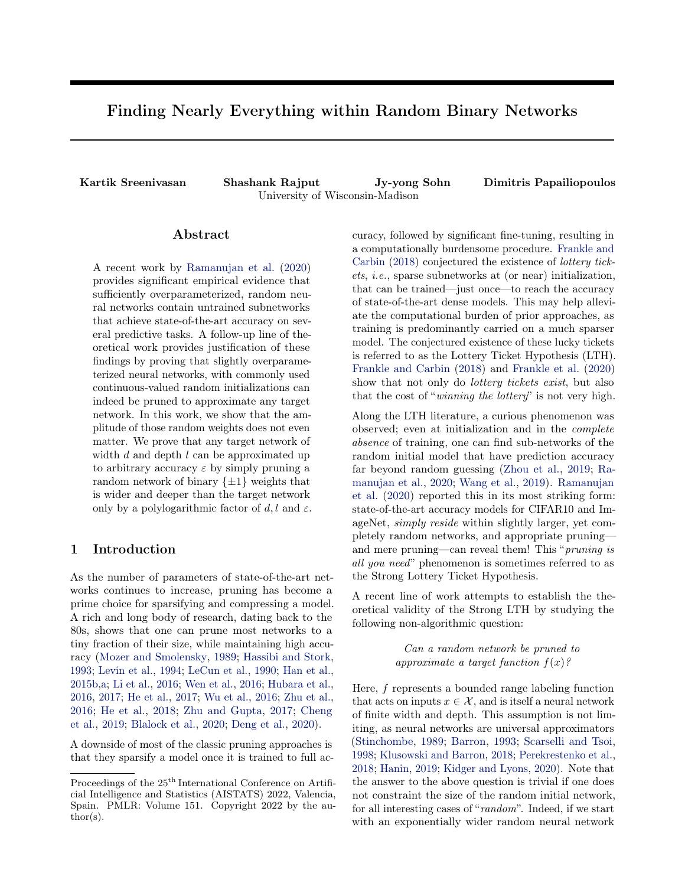this, note that for the simple target function  $f(x) =$  $\varepsilon x, x \in [0,1]$  and  $\varepsilon \in [0.5,1)$ , the best approximation possible by a binary network is  $g(x) = x$  and therefore  $\max_{x \geq R: |x| - 1} |f(x) - g(x)| \geq (1 - \varepsilon)$  for any binary network g. We will show that just by allowing the weights of the final layer to be scaled, we can provide a uniform approximation guarantee while the rest of the network remains binary  $\{\pm 1\}$ . Formally, we have the following theorem:

<span id="page-3-0"></span>Theorem 1. Consider the set of FC ReLU networks F defined as

$$
\mathcal{F} = \{f : f(\mathbf{x}) = \sigma(W_I \sigma(W_{I-1} \dots \sigma(W_1 \mathbf{x}))),
$$
  

$$
\forall i \ W_i \in \mathbb{R}^{d_i - d_{i-1}} ||W_i|| \leq 1\},\
$$

and let  $d = \max_i d_i$ . For any  $\varepsilon > 0$ , let  $g(\bm{x}) = \sigma(\varepsilon^{\theta} \bm{B}_{\rho} \sigma(\bm{B}_{\rho-1} \ldots \sigma(\bm{B}_{1} \bm{x})))$  (here  $\varepsilon^{\theta} =$  $(\varepsilon/d^2 l)^l$ ) be a randomly initialized network with depth  $l^{\theta} = \Theta(l \log(d^2 l/\varepsilon))$  such that every weight is drawn uniformly from  $\{-1, +1\}$  and the layer widths are  $\Theta$   $\log d^2 l / \varepsilon \cdot \log \frac{d l \log^2 (d^2 l = r)}{r}$ times wider than  $f(\mathbf{x})$ .

Then, with probability at least  $1 - \delta$ , for every  $f \in \mathcal{F}$ , there exist pruning matrices  $M_i$  such that

$$
\max_{x \geq R^{d_0}: j/xj j-1} |f(\mathbf{x}) - \tilde{g}(\mathbf{x})| \leq \varepsilon
$$

holds where

$$
\tilde{g}(\boldsymbol{x}) := \sigma(\varepsilon^{\theta}(\boldsymbol{M}_{l^{\rho}} \odot \boldsymbol{B}_{l^{\rho}}) \sigma((\boldsymbol{M}_{l^{\rho}}\ {}_{1} \odot \boldsymbol{B}_{l^{\rho}}\ {}_{1}) \ldots \\ \ldots \sigma((\boldsymbol{M}_{1} \odot \boldsymbol{B}_{1})\boldsymbol{x}))).
$$

Remark 1. The dimensions of the weight matrices of  $g(\mathbf{x})$  in Theorem [1](#page-3-0) are specified more precisely below. Let  $p = (d^2 l/\varepsilon)$ . Since  $l^{\theta} = l \log(p)$ , we have  $|\log(p)|$ layers in  $q(\mathbf{x})$  that approximates each layer in  $f(\mathbf{x})$ . For each  $i \in [l]$ , the dimension of  $\mathbf{B}_{(i-1)b \mid \text{log}(p) \mid c+1}$  is

$$
\Theta \quad d_{i-1} \log(p) \log \quad \frac{d l \log^2(p)}{\delta} \qquad \times d_{i-1},
$$

the dimension of  $B_{iblog(p)c}$  is

$$
d_i \times \Theta \quad d_{i-1} \log(p) \log \frac{dl \log^2(p)}{\delta}
$$

and the remaining  $B_{(i-1)blog(p)c+k}$  where  $1 < k <$  $|\log(p)|$  have the dimension

$$
\Theta \quad d_{i-1} \log(p) \log \frac{dl \log^2(p)}{\delta}
$$
  
 
$$
\times \Theta \quad d_{i-1} \log(p) \log \frac{dl \log^2 p}{\delta} .
$$

#### 3.2 Proof of Theorem [1](#page-3-0)

First, we show in Section [3.2.1](#page-3-1) that any target network in  $f(\mathbf{x}) \in \mathcal{F}$  can be approximated within  $\varepsilon > 0$ , by another network  $\hat{g}_{p}(\mathbf{x})$  having weights of finite-precision at most p digits where p is logarithmic in d, l, and  $\varepsilon$ .

Then, in Section [3.2.2,](#page-4-0) we show that any finite precision network can be represented exactly using a binary network where all the weights are binary  $\{\pm 1\}$  except the last layer, and the last layer weights are scaledbinary  $\{\pm \varepsilon^{\theta}\}$ . We do this by first showing that any finite-precision network is equivalent to a network with integer weights in every layer except the last using a simple scaling argument. We then prove Lemma [6](#page-6-0) which shows the deterministic construction of a binary network using diamond-shaped gadgets that can be pruned to approximate any integer network. Theorem [2](#page-4-1) extends the result to the case when the network is initialized with random binary weights.

Putting these together completes the proof of Theorem [1](#page-3-0) as shown in Section [3.2.3.](#page-7-0)

#### <span id="page-3-1"></span>3.2.1 Logarithmic precision is sufficient

First, we consider the simplest setting wherein the target network contains a single weight *i.e.*,  $h(x) = \sigma(wx)$ , where  $x, w$  are scalars, the absolute values of which are bounded by 1. This assumption can be relaxed to any finite norm bound. We begin by noting that  $log(1/\varepsilon)$ digits of precision are sufficient to approximate a real number within error  $\varepsilon$ , as formalized below

<span id="page-3-2"></span>**Fact 1.** Let  $w \in \mathbb{R}$ ,  $|w| \leq 1$  and  $\hat{w}$  be a finite-precision truncation of w with  $\lceil \Theta(\log(1/\varepsilon)) \rceil$  digits. Then  $|w \hat{w}$   $\leq \varepsilon$  holds.

Now we state the result for the case when the target network contains a single weight w.

<span id="page-3-3"></span>**Lemma 1.** Consider a network  $h(x) = \sigma(wx)$  where  $w \in \mathbb{R}, |w| \leq 1$ . For a given  $\varepsilon > 0$ , let  $\hat{w}$  be a finiteprecision truncation of w up to  $log(1/\varepsilon)$  digits and let  $\hat{g}_{\text{log}(1-\gamma)}(x) = \sigma(\hat{w}x)$ . Then we have

$$
\max_{x \ge R: |x| \to 1} |h(x) - \hat{g}_{\log(1=\gamma)}(x)| \le \varepsilon.
$$

*Proof.* By Fact [1,](#page-3-2) we know that  $|w - \hat{w}| \leq \varepsilon$ . Applying Cauchy-Schwarz with  $|x| \leq 1$  gives us  $|\hat{w}x - wx| \leq \varepsilon$ . Since this holds for any  $x$  and ReLU is 1-Lipschitz, the result follows.  $\Box$ 

Lemma [1](#page-3-3) can be extended to show that it suffices to consider finite-precision truncation up to  $\log(d^2 l/\varepsilon)$ digits to approximate a network for width d and depth l. This is stated more formally below.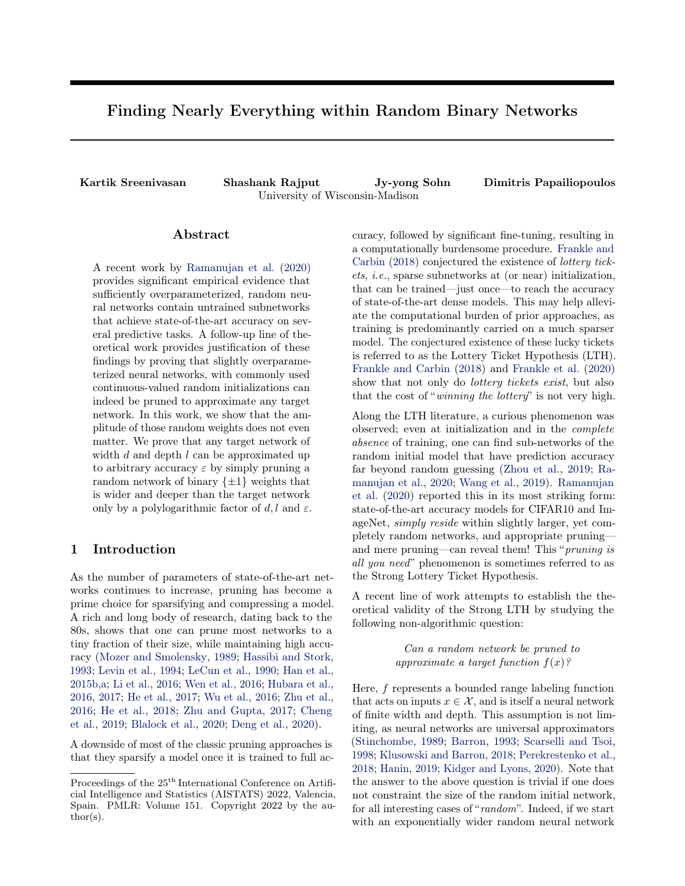<span id="page-4-2"></span>**Lemma** 2. Consider a network  $h(\mathbf{x})$  $\sigma(W_1\sigma(W_1\mid\ldots\sigma(W_1\mid\mathbf{x})))$  where  $W_i \in \mathbb{R}^{d_i-d_{i-1}},$  $||W_i|| \leq 1.$ For a given  $\varepsilon > 0$ , define  $\hat{g}_{\log(\mathcal{Q}^2 l = \gamma)}(\mathbf{x}) = \sigma(\mathbf{W}_{l} \sigma(\mathbf{W}_{l-1} \ldots \sigma(\mathbf{W}_{1} \mathbf{x})))$  where  $\mathcal{W}_i$  is a finite precision truncation of  $\mathcal{W}_i$  up to  $log(d^2 l/\varepsilon)$  digits, where  $d = max_i d_i$ . Then we have

$$
\max_{x \ge R^{d_0}: j/xj j-1} |h(\mathbf{x}) - \hat{g}_{\log(d^2 I = \mathcal{D}}(\mathbf{x})| \le \varepsilon.
$$

We provide the proof of Lemma [2](#page-4-2) as well as approximation results for a single neuron and layer in Appendix [A.1.](#page-9-21)

#### <span id="page-4-0"></span>3.2.2 Binary weights are sufficient

We begin by showing that any finite-precision FC ReLU network can be represented perfectly as a FC ReLU network with integer weights in every layer except the last, using a simple scaling argument. Since ReLU networks are positive homogenous, we have that  $\sigma(c \cdot$  $z$ ) =  $c \cdot \sigma(z)$  for any  $c > 0$ . Given a network  $g_p$  where all the weights are of finite-precision at most  $p$ , we can apply this property layerwise with the scaling factor  $c = 10^p$  so that,

$$
f(\mathbf{x}) = \sigma(W_I \sigma(W_{I-1} \dots \sigma(W_1 \mathbf{x})))
$$
  
= 
$$
\frac{1}{c^I} \sigma(cW_I \sigma(cW_{I-1} \dots \sigma(cW_1 \mathbf{x})))
$$
  
= 
$$
\sigma(c^0 W_I \sigma(W_{I-1} \dots \sigma(W_1 \mathbf{x})))
$$
 (1)

where  $W_i = 10^p W_i$  is a matrix of integer weights and  $c^{\theta} = \frac{1}{c'}$ . Therefore, the rescaled network has integer weights in every layer except the last layer which has the weight matrix  $c^{\theta} \mathbf{W}_l = (c^{-l}) \mathbf{W}_l$ .

In the remaining part of this section, we show that any FC ReLU network with integer weights can be represented exactly by pruning a purely binary  $\{\pm 1\}$ FC ReLU network which is just polylogarithmic wider and deeper. More precisely, we prove the following result.

<span id="page-4-1"></span>Theorem 2. Consider the set of FC ReLU networks with integer weights  $\mathcal{F}_{W}$  defined as

$$
\mathcal{F}_W = \{f : f(\mathbf{x}) = \sigma(W_I \sigma(W_{I-1} \dots \sigma(W_1 \mathbf{x}))),
$$
  

$$
\forall i \ W_i \in \mathbb{Z}^{d_i - d_{i-1}} ||W_i||_{max} \leq W\}
$$

where  $W > 0$ . Define  $d = \max_i d_i$  and let  $g(\mathbf{x}) =$  $\sigma(\boldsymbol{B} \rho \sigma(\boldsymbol{B} \rho_{1} \ldots \sigma(\boldsymbol{B}_1 \boldsymbol{x})))$  be a network with depth  $l^{\theta}$  =  $\Theta(l \log(|W|))$  where every weight is uniform-randomly generated from  $\{-1, +1\}$  and the layer widths are  $\Theta$  log  $|W| \cdot \log \frac{d / \log^2 j W j}{ }$ times wider than  $f(\mathbf{x})$ .

Then, with probability at least  $1 - \delta$ , for every  $f \in \mathcal{F}$ , there exist pruning matrices  $M_i$  such that

$$
f(\mathbf{x}) = \tilde{g}(\mathbf{x})
$$

holds for any  $\mathbf{x} \in \mathbb{R}^{d_0}$  where  $\tilde{g}(\mathbf{x}) := \sigma((\mathbf{M}_{l^0} \odot$  $\bm{B}_{\ell^0})\sigma((\bm{M}_{\ell^0-1} \odot \bm{B}_{\ell^0-1}) \ldots \sigma((\bm{M}_1 \odot \bm{B}_1) \bm{x}))).$ 

Remark 2. The dimensions of the weight matrices of  $q(\mathbf{x})$  in Theorem [2](#page-4-1) are specified more precisely below. Note that we have  $|\log|W||$  layers in  $g(\mathbf{x})$  that exactly represents each layer in  $f(\mathbf{x})$ . For each  $i \in [l]$ , the dimension of  $B_{(i-1)$ blog jWjc+1 is

$$
\Theta \quad d_{i-1} \log |W| \log \frac{d l \log^2 |W|}{\delta} \qquad \times d_{i-1},
$$

the dimension of  $B_{iblogjWic}$  is

$$
d_i \times \Theta \quad d_{i-1} \log |W| \log \frac{dl \log^2 |W|}{\delta}
$$

and the remaining  $B_{(i-1)b\log jW/c+k}$  where  $1 < k <$  $|\log|W|$  have the dimension

$$
\Theta \ d_{i-1} \log |W| \log \frac{dl \log^2 |W|}{\delta}
$$
  
 
$$
\times \Theta \ d_{i-1} \log |W| \log \frac{dl \log^2 |W|}{\delta}
$$

**Remark 3.** Note that  $\tilde{g}(\mathbf{x})$  is exactly equal to  $f(\mathbf{x})$ . Furthermore, like [Pensia et al.](#page-9-17) [\(2020\)](#page-9-17) we provide a uniform quarantee for all networks in  $\mathcal F$  by pruning a single over-parameterized network.

<span id="page-4-3"></span>Remark 4. Theorem [2](#page-4-1) can be stated using a deterministic construction thereby avoiding the  $log(1/\delta)$  overparameterization. We extend to the random initialization setting by resampling this construction a sufficient number of times.

Remark 5. To resolve issues of numerical overflow, we can insert scaling neurons after every layer.

Remark 6. The integer assumption can easily be converted to a finite-precision assumption using a simple scaling argument. Since all networks in practice use finite-precision arithmetic, Theorem [2](#page-4-1) may be of independent interest to the reader. However, we emphasize here that there is no approximation error in this setting. Practitioners who are interested in small error $(10^{-k})$ can just apply Theorem [1](#page-3-0) and incur an overparameter*ization factor of*  $\mathcal{O}(k)$ .

The proof of Theorem [2](#page-4-1) will first involve a deterministic construction of a binary network that gives us the desired guarantee. The construction is based on a diamond-shaped gadget that allows us to approximate a single integer weight by pruning a binary ReLU network with just logarithmic overparameterization.

First, consider a target network that contains just a single integer weight *i.e.*,  $h(x) = \sigma(wx)$ . We will show that there exists a binary FC ReLU network  $q(x)$  which can be pruned to approximate  $h(x)$ .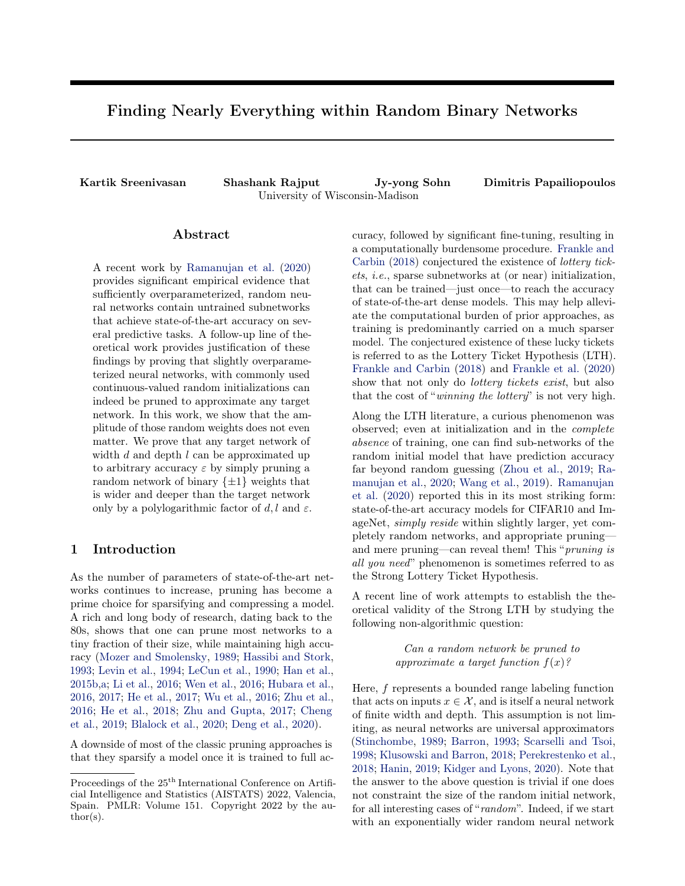<span id="page-5-0"></span>

<span id="page-5-2"></span>Figure 2: The diamond-shaped binary ReLU networks that compute  $g_n(x)$  and  $g_{n-k}(x)$ , respectively. The dashed edges are just weights that have been "pruned" (set to 0). The output neuron is a simple linear activation.  $\chi$ 

<span id="page-5-4"></span>Lemma 3. Consider a network with a single weight,  $h(x) = \sigma(wx)$  where  $w \in \mathbb{Z}$ . Then there exists a FC  $ReLU binary network g(x)$  of width and depth  $O(log |w|)$ that can be pruned to  $\tilde{g}(x)$  so that  $\tilde{g}(x) = h(x)$  for all  $x \in \mathsf{R}$ .

*Proof.* Note that since  $w$  is an integer, it can be represented using its binary (base-2) expansion

<span id="page-5-1"></span>
$$
w = sign(w) \sum_{k=0}^{b \log_{\xi} j w j c} z_k \cdot 2^k, \quad z_k \in \{0, 1\}. \tag{2}
$$

For ease of notation, we will use  $log(·)$  to represent  $\log_2(\cdot)$  going forward. Denote  $n = \lfloor \log_2 |w| \rfloor$ . The construction of  $g_n(x)$  in Figure [2a](#page-5-0) shows that  $2^n$  can be represented by a binary network with ReLU activations for any  $n$ . We will refer to this network as the diamondshaped "gadget".

Note that the expansion in Equation [\(2\)](#page-5-1) requires us to approximate  $2^k$  for all  $0 \leq k \leq n = \lfloor \log |w| \rfloor$ . Luckily, any of these can be represented by just pruning  $g_n(x)$ as shown in Figure [2b.](#page-5-2)

However, since our constructions use the ReLU activation, this only works when  $x \geq 0$ . Using the same trick as [Pensia et al.](#page-9-17) [\(2020\)](#page-9-17), we can extend this construction by mirroring it as shown in Figure [3.](#page-5-3) This gives us  $f_{n-k}^+(x) := 2^{n-k}x$  and  $f_{n-k}^-(x) := -2^{n-k}x$ . The correctness of this mirroring trick relies on the simple observation that  $wx = \sigma(wx) - \sigma(-wx)$ .

Putting these together, we get  $g_n(x) = \sigma(\pm \int_{k=0}^{\infty} 2^k x)$ as shown in Figure [4.](#page-6-1) By pruning just the weights in the last layer, we can choose which terms to include. Setting  $n = |\log |w||$  completes the approximation.

To calculate the overparameterization required to approximate  $h(x) = \sigma(wx)$ , we simply count the parameters in the above construction. Each gadget  $q_k$  is a network of width 2 and depth ( $|\log |w|$ ). To construct

<span id="page-5-3"></span>

Figure 3: We can use two instances of  $g_{n-k}$  to create (a)  $f_{n-k}^+$  and (b)  $f_{n-k}$  to approximate both positive weights and negative weights. The output neuron here has a linear activation.

 $f_k^+,\,$  we need two such gadgets. Therefore to construct  $f_k^+$  and  $f_k$ , we need width 4 and depth ( $\lfloor \log |w| \rfloor$ ). Repeating this for each  $k \in 1, 2, \ldots, |\log|w||$  shows that our construction is a network of width and depth  $\mathcal{O}(\log |w|)$  which completes the proof of Lemma [3.](#page-5-4)  $\Box$ Remark 7. The network in Fig. [4](#page-6-1) used for proving Lemma [3](#page-5-4) can be written as

$$
g(x) = \sigma(M_V \odot V)^T[(M_n \odot B_n)\sigma((M_{n-1} \odot B_{n-1})...\\... \sigma((M_1 \odot B_1)\sigma((M_u \odot u)x)))]),
$$

where  ${M_i}_{i2[n]}, M_{\nu}, M_{\nu}$  are mask matrices and  ${B_i}_{i\geq [n]},$  V, U are binary weight matrices. By pruning elements in **u** or **v**, one can obtain  $h(x) = \sigma(wx)$ . We will always prune the last layer  $\bf{v}$  as it makes the construction more efficient when we extend it to approximating a layer.

Now, we extend the construction to the case where the target function is a neural network with a single neuron i.e.,  $h(x) = \sigma(\mathbf{w}^T \mathbf{x}).$ 

<span id="page-5-5"></span>Lemma 4. Consider the set of single neuron networks  $\mathcal{H}_{w_{\textit{max}}} \ = \ \{ h \ : \ h(\textit{\textbf{x}}) \ = \ \sigma(\textit{\textbf{w}}^{\mathsf{T}}\textit{\textbf{x}}), \textit{\textbf{w}} \ \in \ \mathbb{Z}^{d}, \left\vert\left\vert \textit{\textbf{w}}\right\vert\right\vert \gamma \ \ \leq \ \delta \}$ w<sub>max</sub>}. Then there exists a FC ReLU binary network  $g(\mathbf{x})$  of width  $\mathcal{O}(d \log |w_{\text{max}}|)$  and depth  $\mathcal{O}(\log |w_{\text{max}}|)$ that can be pruned to  $\tilde{g}_h(\mathbf{x})$  for every  $h \in \mathcal{H}_{W_{\text{max}}}$  so that  $\tilde{g}_h(\mathbf{x}) = h(\mathbf{x})$  for all  $\mathbf{x} \in \mathbb{R}^d$ .

Proof. A neuron can be written as  $h(\mathbf{x}) = \sigma(\mathbf{w}^T \mathbf{x}) =$  $\sigma\begin{pmatrix} a & b \\ c & -1 \end{pmatrix}$ . Therefore, we can just repeat our con-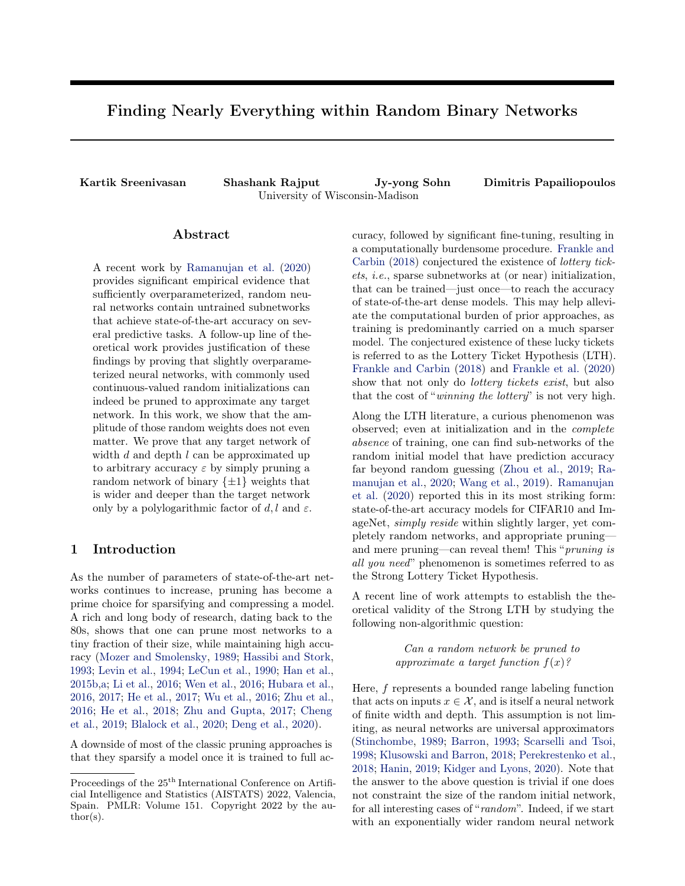<span id="page-6-1"></span>

Figure 4: Illustration of  $g_k(x) = \sum_{k=0}^n (f_k^+(x) + f_k(x)) =$  $\left(\sum_{k=0}^n 2^k x\right)$  which can be further pruned to approximate  $f(x) = (wx)$  for any  $w : jwj < 2^{n+1}$  1

struction from above for each  $w_i, i \in [d]$ . This results in a network of width  $\mathcal{O}(d \log |w_{max}|)$  while the depth remains unchanged at  $\mathcal{O}(\log |w_{max}|)$ . Note that the construction is identical for every  $h \in \mathcal{H}_{W_{max}}$  since it only depends on the largest weight in the network.  $\Box$ 

Next, we describe how to approximate a single layer target network and avoid a quadratic overparameterization.

<span id="page-6-3"></span>Lemma 5. Consider the set of single layer networks  $\mathcal{H}_W = \{h : h(\mathbf{x}) = \sigma(\mathbf{1}^T \sigma(W_1 \mathbf{x})), W_1 \in$  $Z^{d_1}$  do,  $||W_1||_{max} \leq W$ . Then there exists a FC ReLU binary network  $g(\mathbf{x})$  of width  $\mathcal{O}(\max\{d_0, d_1\} \log |W|)$  and depth  $\mathcal{O}(\log |W|)$  that can be pruned to  $\tilde{g}_h(\mathbf{x})$  for every  $h \in \mathcal{H}$  so that  $\tilde{g}_h(\mathbf{x}) = h(\mathbf{x})$ for all  $\mathbf{x} \in \mathbb{R}^{d_0}$ .

Proof. For ease of exposition, we describe the proof for a single h but it trivially applies to every  $h \in \mathcal{H}_W$ . Note that  $\mathbf{1} \in \mathbb{R}^{d_1}$  is the vector of 1's. Naively extending the construction from Lemma [4](#page-5-5) would require us to replace each of the  $d_0$  neurons in the first layer by a network of width  $\mathcal{O}(d_1 \log |W|)$  and depth  $\mathcal{O}(\log |W|)$ . This already needs a network of width  $\mathcal{O}(d_0d_1 \log |W|)$ which is a *quadratic* overparameterization. Instead, we take advantage of pruning only the last layer in the construction from Lemma [3](#page-5-4) to re-use a sufficient number of weights and avoid the quadratic overparameterization. An illustration of this idea is shown in Figure [5.](#page-6-2) The key observation is that by pruning only the last layer of each  $f_n(x)$  gadget, we leave it available to be re-used to approximate the weights of the remaining  $(d_1 - 1)$  neurons. Therefore, the width of the network required to

<span id="page-6-2"></span>

Figure 5: Illustration of the construction in Lemma [5:](#page-6-3) Approximating a 1-hidden layer network  $h(x) = (1^T (W_1 x))$ by pruning the appropriate binary network  $g(x)$ . Pruning the last layer allows us to "re-use" weights.

approximate  $h(\mathbf{x})$  is just  $\mathcal{O}(\max\{d_0, d_1\} \log |W|)$  and the depth remains  $\mathcal{O}(\log |W|)$ . П

Now we can tie it all together to show an approximation guarantee for any network in  $\mathcal{F}_W$ .

<span id="page-6-0"></span>**Lemma 6.** Consider the set of networks  $\mathcal{F}_W = \{f :$  $f(\mathbf{x}) = \sigma(W_I \sigma(W_{I-1} \dots \sigma(W_1 \mathbf{x}))), \; W_I \in \mathbb{Z}^{d_i}$   $\frac{d_i}{d_i-1},$  $||W_i||_{max} \leq W$ . Let  $d = \max_i d_i$ . Then, there exists a FC ReLU binary network  $g(\mathbf{x})$  of width  $\mathcal{O}(d \log |W|)$ and depth  $\mathcal{O}(l \log |W|)$  that can be pruned to  $\tilde{q}_f(\mathbf{x})$  for every  $f \in \mathcal{F}_W$  so that  $\tilde{g}_f(\mathbf{x}) = f(\mathbf{x})$  for all  $\mathbf{x} \in \mathbb{R}^{d_0}$ .

Proof. Note that there is no approximation error in any of the steps above. Therefore, we can just repeat the construction above for each of the l layers in  $f(\mathbf{x})$ . This results in a network  $g(\mathbf{x})$  of width  $\mathcal{O}(d \log |W|)$ and depth  $\mathcal{O}(l \log |W|)$ . A more precise description of the dimensions of each layer can be found in the statement of Theorem [2.](#page-4-1) П

We are now ready to prove Theorem [2](#page-4-1) in its entirety by showing that our construction can be extended for networks with randomly initialized weights. We restate it here in a slightly simpler form for convenience.

Theorem 2. Consider the set of FC ReLU  $networks$  with integer weights  $\mathcal{F}_W = \{f :$  $f(\mathbf{x}) = \sigma(W_I \sigma(W_{I-1} \dots \sigma(W_1 \mathbf{x}))), \quad W_I \in$  $\mathbb{Z}^{d_i/d_{i-1}}$ ,  $||W_i||_{max} \leq W$  where  $W > 0$ . Let  $d = \max_i d_i$  and let  $g(\mathbf{x})$  be a randomly initialized binary network of width  $\Theta$  dlog  $\frac{(d/\log^2 jW)}{D}$ and depth  $\Theta(l \log |W|)$  such that every weight is drawn uniformly from  $\{-1, +1\}$ . Then, for every  $f \in \mathcal{F}_W$ ,  $g(\mathbf{x})$  can be pruned to  $\tilde{g}_f(\mathbf{x})$  so that  $\tilde{g}_f(\mathbf{x}) = f(\mathbf{x})$  for all  $\mathbf{x} \in \mathbb{R}^{d_0}$  with probability at least  $1 - \delta$ .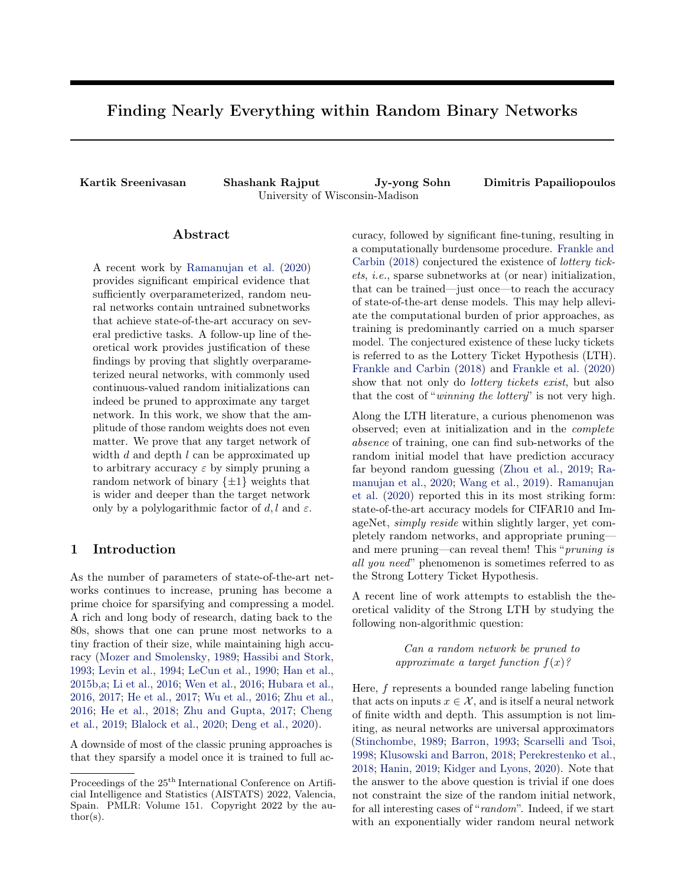Proof. Consider any one particular diamond structure in Figure [2.](#page-5-0) If we sample the weights of this network uniformly at random from  $\{-1, +1\}$ , then the probability that they are all 1 is at most  $(1/2)^4$ . If we make the network  $k$  times wider, the probability that such a diamond-gadget does not exist in the network is given by  $(1-(1/2)^4)^k$ . In other words, if A is the failure event, then  $P(A) = 1 - (1/2)^{4-k}$ . Note that there are  $\Theta(dl \log^2 |W|)$  such diamond structures in our network. By symmetry, the failure probability of each of them is identical. To have the overall probability of failure to be at most  $\delta$ , taking the union bound we have that

$$
d l \log^2 |W| \cdot 1 - (1/2)^{4-k} \le \delta
$$

Hence, it suffices to have  $k \geq \Theta$  log  $\frac{(d/\log^2 jW)}{M}$ . In other words, a randomly initialized binary network of width  $\Theta$  log  $\frac{(d/\log^2 jW)}{g}$ and depth  $\Theta(l \log |W|)$ contains our deterministic construction with probability at least  $1 - \delta$ .  $\Box$ 

**Remark 8.** Note that we need the randomness to just ensure the existence of a particular deterministic network - specifically  $g(\mathbf{x})$  from Lemma [6.](#page-6-0) Therefore, a single random network is sufficient to ensure the guarantee for every  $f \in \mathcal{F}_W$ . This allows us to avoid using any union bound arguments.

#### <span id="page-7-0"></span>3.2.3 Putting everything together

First, note that by Lemma [2,](#page-4-2) to approximate any  $f \in \mathcal{F}$ within  $\varepsilon > 0$ , it suffices to consider  $\hat{g}(\mathbf{x})$  which is a finite-precision version of  $f$  where the precision of each weight is at most  $p = \log(d^2 l/\varepsilon)$ . Now, applying the scaling trick in Equation [\(1\)](#page-4-3) we can represent  $\hat{g}(\mathbf{x})$ exactly as a scaled integer network i.e.,

$$
\hat{g}(\mathbf{x}) = c^{-1} \sigma(c \mathbf{W}_1 \sigma(c \mathbf{W}_1 \cdots \sigma(c \mathbf{W}_1 \mathbf{x})))
$$

where  $c = 10^p = (d^2 l/\varepsilon)$  and all the weight matrices  $c\mathcal{W}_i$  are integer. Since  $\|\mathcal{W}_i\|_{\max} \leq 1$ , it is clear that  $||c\mathcal{W}_i||_{max} \leq c$ . Therefore, apply-ing Theorem [2](#page-4-1) to the integer network  $c'\hat{g}(\mathbf{x})$  with  $W = (d^2 l/\varepsilon)$ , we have the following. If  $h(\mathbf{x}) =$  $\sigma(\mathbf{B}_{\rho} \sigma(\mathbf{B}_{\rho-1} \ldots \sigma(\mathbf{B}_1 \mathbf{x})))$  is a randomly initialized binary network of depth  $\Theta(l \log(d^2 l/\varepsilon))$  and width  $\Theta$  log( $d^2l/\varepsilon$ ) log  $\frac{d l \log^2(\partial^2 l = r)}{r}$ , then with probability at least  $(1 - \delta)$ , it can be pruned to  $\hat{h}(\mathbf{x})$  so that  $c^{\prime}\hat{g}(\mathbf{x}) = \tilde{h}(\mathbf{x})$  for any **x** in the unit sphere. Therefore, to approximate  $\hat{g}(\mathbf{x})$  we simply push the scaling factor  $c^{-l}$  into the last layer  $B_{l^{\rho}}$  so that its weights are now scaled binary  $\{\pm (\varepsilon/d^2 l)^l\}$ . Combining this with the approximation guarantee between  $\hat{q}(\mathbf{x})$  and  $f(\mathbf{x})$ completes the proof of Theorem [1.](#page-3-0)

#### 3.3 Binary weights for classification

Theorem [2](#page-4-1) can easily be extended for classification problems using finite-precision networks. Since  $sign(\cdot)$ is positive scale-invariant, we no longer even require the final layer to be scaled. Applying the same argument as Sec [3.2.3](#page-7-0) and then dropping the  $c^{-1}$  factor gives us the following corollary.

Corollary 1. Consider the set of binary classification  $FC \, ReLU \, networks \, \mathcal{F} \, of \, width \, d \, and \, depth \, l, \, where \, the$ weight matrices  $\{W_i\}_{i=1}^l$  are of finite-precision of at most p digits. Let  $g(\mathbf{x}) = \text{sign}(\mathbf{B}_{\rho \sigma}(\mathbf{B}_{\rho-1} \ldots \sigma(\mathbf{B}_1 \mathbf{x})))$ be a randomly initialized binary network with depth  $l^{\theta} = \Theta(lp)$  and width  $d^{\theta} = \Theta(dp \log(dlp/\delta))$  such that every weight is drawn uniformly from  $\{-1, +1\}$ . Then, with probability at least  $1 - \delta$ , for every  $f \in \mathcal{F}$ , there exist pruning matrices  $\{M_i\}_{i=1}^{l^{0}}$  such that  $f(\mathbf{x}) = \tilde{g}(\mathbf{x})$ for any **x** where  $\tilde{g}(\mathbf{x}) := \text{sign}((\mathcal{M}_{l^{\rho}} \odot \mathcal{B}_{l^{\rho}})\sigma((\mathcal{M}_{l^{\rho}}\circ_{1} \odot$  $B_{\lceil \theta \rceil-1}) \ldots \sigma((M_1 \odot B_1)X))$ .

#### 3.4 Observation on the power of zero

In the following, we try to understand if pruning is essential to the expressive power of binary networks. We will show that pruning binary networks is strictly more powerful than merely sign-flipping their weights. To see this, consider the set of all networks that can be derived by pruning 1-hidden layer binary networks of width  $m$  and input dimension  $d$ :

$$
\mathcal{F}_{pruned}^{m} = f : f(\mathbf{x}) = \sigma \overset{\bigcirc}{\underset{i=1}{\otimes}} x_{i\sigma} \overset{\bigcirc}{\underset{j=1}{\otimes}} r_{ij}w_{j}^{i}AA,
$$
\n
$$
w_{j}, v_{j} \in \{+1, -1, 0\}.
$$

Similarly, the set of all 1-hidden layer binary networks of the same width without pruning is given by

<span id="page-7-1"></span>
$$
\mathcal{F}_{bin}^{m} = f : f(\mathbf{x}) = \sigma \overset{\bigcirc}{\otimes} \overset{\bigcirc}{x}_{i \sigma} \overset{\bigcirc}{\otimes} \overset{\bigcirc}{v}_{j \nu j} \overset{1}{\otimes} A,
$$
  

$$
w_{j}, v_{j} \in \{+1, -1\} \quad . \quad (3)
$$

In the following proposition, we prove that  $\mathcal{F}_{pruned}$  is a strictly richer class of functions indicating that pruning is an essential part of approximating classifiers.

**Proposition 1.** The function  $f(\mathbf{x}) = \sigma \begin{bmatrix} d \\ -i \end{bmatrix} i \cdot x_i$ satisfies  $f(\mathbf{x}) \in \mathcal{F}_{pruned}^d$  and  $f(\mathbf{x}) \notin \mathcal{F}_{bin}^d$ , i.e., without pruning,  $f(\mathbf{x})$  cannot be represented by a single layer binary network of width d.

*Proof.* For simplicity, we consider the case when  $x \geq 0$ so that the ReLU is equivalent to a linear activation. If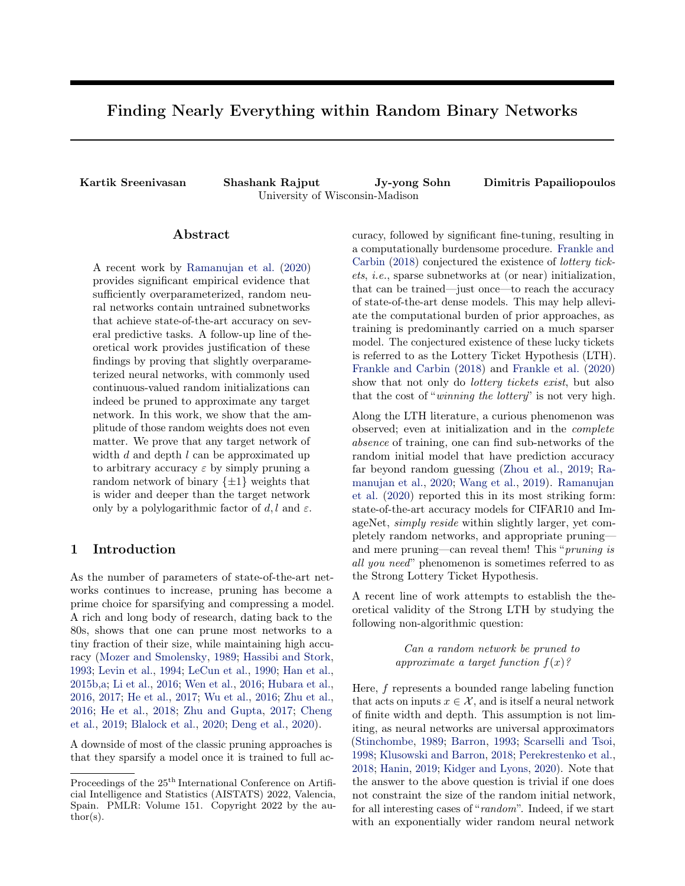the functions are not equal for the non-negative orthant, then they are surely different. First, note that we recover  $f(\mathbf{x})$  from  $\mathcal{F}^d_{pruned}$  if we set  $v_j = 1$  and  $w^i_j = 1_j$ for all *i*, *j*. Therefore,  $f(\mathbf{x}) \in \mathcal{F}_{pruned}^d$  holds. To see that  $f \notin \mathcal{F}_{bin}^d$ , first note that we can replace  $v_j w_j^i$  with  $z_j^i$  ∈ {+1, -1}  $\forall i, j$  in Equation [\(3\)](#page-7-1). Hence, any  $g \in$  $\mathcal{F}_{bin}^d$  is of the form  $g(\mathbf{x}) = \sigma \begin{bmatrix} d \\ d \\ d \end{bmatrix} x_i \sigma \begin{bmatrix} d \\ d \\ d \end{bmatrix} x_j$ . Consider the coefficient of  $x_d$  in  $f(\mathbf{x})$  which is  $(d-1)$ . Since  $z_j^d$  cannot be set to 0, the best approximation we can get using  $g(\mathbf{x})$  is d or  $d-2$ . In fact, this holds for every odd term in  $f(x)$ . This completes the proof.  $\Box$ 

**Remark 9.** The above proposition suggests that pruning is more powerful than merely flipping signs of a binary network. In fact, the same argument can be extended for binary networks of any fixed width d and depth l to show that pruned networks are more expressive. However, it does not quantify this difference in expressivity.

## 4 Conclusion

In this paper, we prove the Strong LTH for binary networks establishing that logarithmic overparameterization is sufficient for pruning algorithms to discover accurate subnetworks within random binary models. By doing this, we provide theory supporting the wide range of experimental work in the field, e.g., scaled binary networks can achieve the best SOTA accuracy on benchmark image datasets [\(Diffenderfer and Kailkhura,](#page-8-15) [2021;](#page-8-15) [Ramanujan et al.,](#page-9-0) [2020\)](#page-9-0). Moreover, we show that only the last layer needs to be scaled binary, while the rest of the network can be purely binary  $\{\pm 1\}$ . It is well known in the binary network literature that a gain term (scaling the weights) makes the optimization problem more tractable [\(Simons and Lee,](#page-9-19) [2019\)](#page-9-19). While this is known empirically, it would be interesting to study this from a theoretical perspective so we can identify better algorithms to find binary networks of high accuracy.

#### References

- <span id="page-8-12"></span>Barron, A. R. (1993). Universal approximation bounds for superpositions of a sigmoidal function. IEEE Transactions on Information theory, 39(3):930–945.
- <span id="page-8-8"></span>Blalock, D., Gonzalez Ortiz, J. J., Frankle, J., and Guttag, J. (2020). What is the state of neural network pruning? In Proceedings of Machine Learning and Systems 2020, pages 129–146.
- <span id="page-8-7"></span>Cheng, Y., Wang, D., Zhou, P., and Zhang, T. (2019). A Survey of Model Compression and Acceleration for Deep Neural Networks.  $arXiv:1710.09282$  [cs].
- <span id="page-8-14"></span>Courbariaux, M., Bengio, Y., and David, J.-P. (2015). Binaryconnect: Training deep neural networks with binary weights during propagations. *arXiv preprint* arXiv:1511.00363.
- <span id="page-8-9"></span>Deng, L., Li, G., Han, S., Shi, L., and Xie, Y. (2020). Model compression and hardware acceleration for neural networks: A comprehensive survey. Proceedings of the IEEE, 108(4):485–532.
- <span id="page-8-15"></span>Diffenderfer, J. and Kailkhura, B. (2021). Multi-prize lottery ticket hypothesis: Finding accurate binary neural networks by pruning a randomly weighted network. arXiv preprint arXiv:2103.09377.
- <span id="page-8-10"></span>Frankle, J. and Carbin, M. (2018). The lottery ticket hypothesis: Finding sparse, trainable neural networks. In International Conference on Learning Representations.
- <span id="page-8-11"></span>Frankle, J., Dziugaite, G. K., Roy, D., and Carbin, M. (2020). Linear mode connectivity and the lottery ticket hypothesis. In International Conference on Machine Learning, pages 3259–3269. PMLR.
- <span id="page-8-2"></span>Han, S., Mao, H., and Dally, W. J. (2015a). Deep compression: Compressing deep neural networks with pruning, trained quantization and huffman coding. arXiv preprint arXiv:1510.00149.
- <span id="page-8-1"></span>Han, S., Pool, J., Tran, J., and Dally, W. J. (2015b). Learning both weights and connections for efficient neural networks. arXiv preprint arXiv:1506.02626.
- <span id="page-8-13"></span>Hanin, B. (2019). Universal function approximation by deep neural nets with bounded width and relu activations. Mathematics, 7(10):992.
- <span id="page-8-0"></span>Hassibi, B. and Stork, D. G. (1993). Second order derivatives for network pruning: Optimal Brain Surgeon. In Hanson, S. J., Cowan, J. D., and Giles, C. L., editors, Advances in Neural Information Processing Systems 5, pages 164–171. Morgan-Kaufmann.
- <span id="page-8-6"></span>He, Y., Lin, J., Liu, Z., Wang, H., Li, L.-J., and Han, S. (2018). Amc: Automl for model compression and acceleration on mobile devices. In Proceedings of the European Conference on Computer Vision (ECCV), pages 784–800.
- <span id="page-8-5"></span>He, Y., Zhang, X., and Sun, J. (2017). Channel pruning for accelerating very deep neural networks. In Proceedings of the IEEE International Conference on Computer Vision, pages 1389–1397.
- <span id="page-8-3"></span>Hubara, I., Courbariaux, M., Soudry, D., El-Yaniv, R., and Bengio, Y. (2016). Binarized neural networks. In Proceedings of the 30th International Conference on Neural Information Processing Systems, pages 4114–4122.
- <span id="page-8-4"></span>Hubara, I., Courbariaux, M., Soudry, D., El-Yaniv, R., and Bengio, Y. (2017). Quantized neural networks: Training neural networks with low precision weights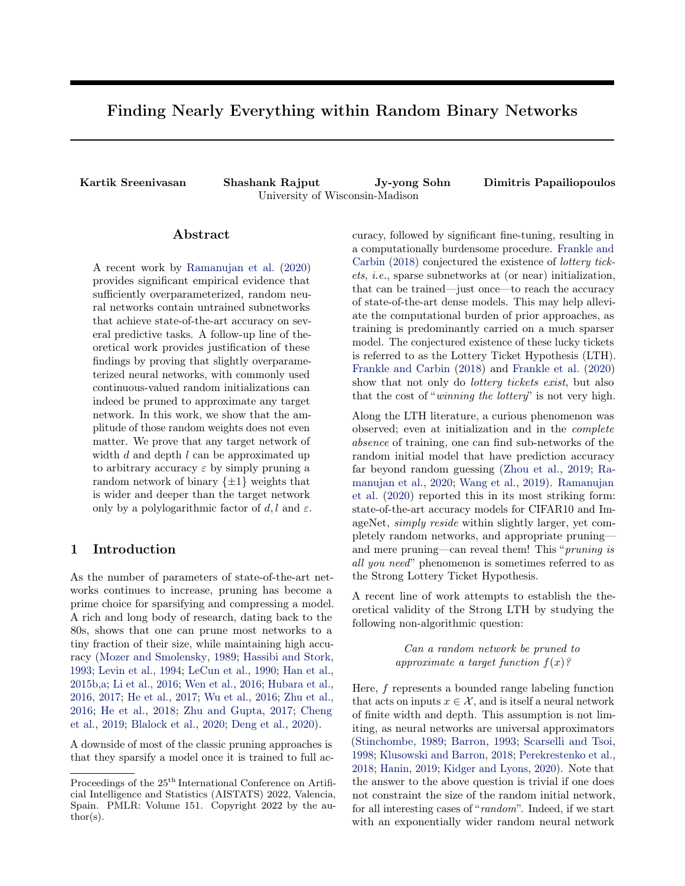and activations. The Journal of Machine Learning Research, 18(1):6869–6898.

- <span id="page-9-15"></span>Kidger, P. and Lyons, T. (2020). Universal approximation with deep narrow networks. In Conference on Learning Theory, pages 2306–2327. PMLR.
- <span id="page-9-13"></span>Klusowski, J. M. and Barron, A. R. (2018). Approximation by combinations of relu and squared relu ridge functions with  $\ell^1$  and  $\ell^0$  controls. IEEE Transactions on Information Theory, 64(12):7649–7656.
- <span id="page-9-3"></span>LeCun, Y., Denker, J. S., and Solla, S. A. (1990). Optimal Brain Damage. In Touretzky, D. S., editor, Advances in Neural Information Processing Systems 2, pages 598–605. Morgan-Kaufmann.
- <span id="page-9-2"></span>Levin, A. U., Leen, T. K., and Moody, J. E. (1994). Fast Pruning Using Principal Components. In Cowan, J. D., Tesauro, G., and Alspector, J., editors, Advances in Neural Information Processing Systems 6, pages 35–42. Morgan-Kaufmann.
- <span id="page-9-4"></span>Li, H., Kadav, A., Durdanovic, I., Samet, H., and Graf, H. P. (2016). Pruning filters for efficient convnets. arXiv preprint arXiv:1608.08710.
- <span id="page-9-16"></span>Malach, E., Yehudai, G., Shalev-Schwartz, S., and Shamir, O. (2020). Proving the lottery ticket hypothesis: Pruning is all you need. In International Conference on Machine Learning, pages 6682–6691. PMLR.
- <span id="page-9-1"></span>Mozer, M. C. and Smolensky, P. (1989). Skeletonization: A technique for trimming the fat from a network via relevance assessment. In Advances in neural information processing systems, pages 107–115.
- <span id="page-9-18"></span>Orseau, L., Hutter, M., and Rivasplata, O. (2020). Logarithmic pruning is all you need. Advances in Neural Information Processing Systems, 33.
- <span id="page-9-17"></span>Pensia, A., Rajput, S., Nagle, A., Vishwakarma, H., and Papailiopoulos, D. (2020). Optimal lottery tickets via subsetsum: Logarithmic overparameterization is sufficient. arXiv preprint arXiv:2006.07990.
- <span id="page-9-14"></span>Perekrestenko, D., Grohs, P., Elbrächter, D., and Bölcskei, H. (2018). The universal approximation power of finite-width deep relu networks. arXiv preprint arXiv:1806.01528.
- <span id="page-9-0"></span>Ramanujan, V., Wortsman, M., Kembhavi, A., Farhadi, A., and Rastegari, M. (2020). What's Hidden in a Randomly Weighted Neural Network? arXiv:1911.13299 [cs].
- <span id="page-9-20"></span>Rastegari, M., Ordonez, V., Redmon, J., and Farhadi, A. (2016). Xnor-net: Imagenet classification using binary convolutional neural networks. In European conference on computer vision, pages 525–542. Springer.
- <span id="page-9-12"></span>Scarselli, F. and Tsoi, A. C. (1998). Universal approximation using feedforward neural networks: A survey

of some existing methods, and some new results. Neural networks, 11(1):15–37.

- <span id="page-9-19"></span>Simons, T. and Lee, D.-J. (2019). A review of binarized neural networks. Electronics, 8(6):661.
- <span id="page-9-11"></span>Stinchombe, M. (1989). Universal approximation using feed-forward networks with nonsigmoid hidden layer activation functions. Proc. IJCNN, Washington, DC, 1989, pages 161–166.
- <span id="page-9-10"></span>Wang, Y., Zhang, X., Xie, L., Zhou, J., Su, H., Zhang, B., and Hu, X. (2019). Pruning from Scratch. arXiv:1909.12579 [cs].
- <span id="page-9-5"></span>Wen, W., Wu, C., Wang, Y., Chen, Y., and Li, H. (2016). Learning structured sparsity in deep neural networks. arXiv preprint arXiv:1608.03665.
- <span id="page-9-6"></span>Wu, J., Leng, C., Wang, Y., Hu, Q., and Cheng, J. (2016). Quantized convolutional neural networks for mobile devices. In *Proceedings of the IEEE Confer*ence on Computer Vision and Pattern Recognition, pages 4820–4828.
- <span id="page-9-9"></span>Zhou, H., Lan, J., Liu, R., and Yosinski, J. (2019). Deconstructing lottery tickets: Zeros, signs, and the supermask. arXiv preprint arXiv:1905.01067.
- <span id="page-9-7"></span>Zhu, C., Han, S., Mao, H., and Dally, W. J.  $(2016)$ . Trained ternary quantization.  $arXiv$  preprint arXiv:1612.01064.
- <span id="page-9-8"></span>Zhu, M. and Gupta, S. (2017). To prune, or not to prune: exploring the efficacy of pruning for model compression. arXiv preprint arXiv:1710.01878.

# A Appendix

### <span id="page-9-21"></span>A.1 Proof of Lemma [2](#page-4-2)

Before proving Lemma [2](#page-4-2) in its entirety, we first ex-tend Lemma [1](#page-3-3) to approximate a neuron with  $\log(d/\varepsilon)$ precision.

**Lemma 7.** Consider a network  $h(\mathbf{x}) = \sigma(\mathbf{w}^T x)$  where  $w \in \mathbb{R}^d, ||w|| \leq 1$  and  $\varepsilon > 0$ . Let  $\hat{w}$  be a coordinatewise finite-precision truncation of **w** up to  $\log(d/\varepsilon)$ digits and  $\hat{g}(x) = \sigma(\hat{w}x)$ . Then we have that

$$
\max_{\mathbf{X} \geq \mathbf{R}^{\mathbf{d}}: j \neq j \neq j} ||h(\mathbf{X}) - \hat{g}(\mathbf{X})|| \leq \varepsilon.
$$

Proof. Once again, by Lemma [1,](#page-3-2) we have that for each coordinate  $|\mathbf{w}_i - \hat{\mathbf{w}}_i| \leq \varepsilon/d$ . Therefore,  $||\mathbf{w} - \hat{\mathbf{w}}|| \leq$ <br>  $\frac{d}{d} \frac{d}{d} \frac{d}{d} \frac{d}{d} \leq \varepsilon$ . Applying Cauchy-Schwarz with <sup>2</sup>  $\leq \varepsilon$ . Applying Cauchy-Schwarz with  $||\mathbf{x}|| \leq 1$  completes the proof.  $\Box$ 

We now extend the result to approximating a single layer with finite-precision.